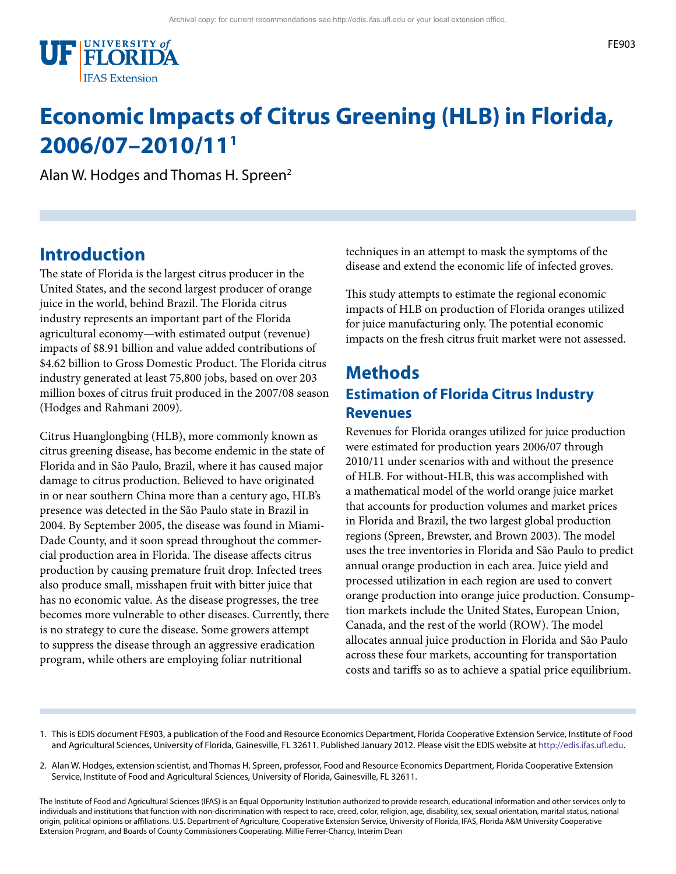

# **Economic Impacts of Citrus Greening (HLB) in Florida, 2006/07–2010/111**

Alan W. Hodges and Thomas H. Spreen2

#### **Introduction**

The state of Florida is the largest citrus producer in the United States, and the second largest producer of orange juice in the world, behind Brazil. The Florida citrus industry represents an important part of the Florida agricultural economy—with estimated output (revenue) impacts of \$8.91 billion and value added contributions of \$4.62 billion to Gross Domestic Product. The Florida citrus industry generated at least 75,800 jobs, based on over 203 million boxes of citrus fruit produced in the 2007/08 season (Hodges and Rahmani 2009).

Citrus Huanglongbing (HLB), more commonly known as citrus greening disease, has become endemic in the state of Florida and in São Paulo, Brazil, where it has caused major damage to citrus production. Believed to have originated in or near southern China more than a century ago, HLB's presence was detected in the São Paulo state in Brazil in 2004. By September 2005, the disease was found in Miami-Dade County, and it soon spread throughout the commercial production area in Florida. The disease affects citrus production by causing premature fruit drop. Infected trees also produce small, misshapen fruit with bitter juice that has no economic value. As the disease progresses, the tree becomes more vulnerable to other diseases. Currently, there is no strategy to cure the disease. Some growers attempt to suppress the disease through an aggressive eradication program, while others are employing foliar nutritional

techniques in an attempt to mask the symptoms of the disease and extend the economic life of infected groves.

This study attempts to estimate the regional economic impacts of HLB on production of Florida oranges utilized for juice manufacturing only. The potential economic impacts on the fresh citrus fruit market were not assessed.

#### **Methods Estimation of Florida Citrus Industry Revenues**

Revenues for Florida oranges utilized for juice production were estimated for production years 2006/07 through 2010/11 under scenarios with and without the presence of HLB. For without-HLB, this was accomplished with a mathematical model of the world orange juice market that accounts for production volumes and market prices in Florida and Brazil, the two largest global production regions (Spreen, Brewster, and Brown 2003). The model uses the tree inventories in Florida and São Paulo to predict annual orange production in each area. Juice yield and processed utilization in each region are used to convert orange production into orange juice production. Consumption markets include the United States, European Union, Canada, and the rest of the world (ROW). The model allocates annual juice production in Florida and São Paulo across these four markets, accounting for transportation costs and tariffs so as to achieve a spatial price equilibrium.

- 1. This is EDIS document FE903, a publication of the Food and Resource Economics Department, Florida Cooperative Extension Service, Institute of Food and Agricultural Sciences, University of Florida, Gainesville, FL 32611. Published January 2012. Please visit the EDIS website at [http://edis.ifas.ufl.edu.](http://edis.ifas.ufl.edu)
- 2. Alan W. Hodges, extension scientist, and Thomas H. Spreen, professor, Food and Resource Economics Department, Florida Cooperative Extension Service, Institute of Food and Agricultural Sciences, University of Florida, Gainesville, FL 32611.

The Institute of Food and Agricultural Sciences (IFAS) is an Equal Opportunity Institution authorized to provide research, educational information and other services only to individuals and institutions that function with non-discrimination with respect to race, creed, color, religion, age, disability, sex, sexual orientation, marital status, national origin, political opinions or affiliations. U.S. Department of Agriculture, Cooperative Extension Service, University of Florida, IFAS, Florida A&M University Cooperative Extension Program, and Boards of County Commissioners Cooperating. Millie Ferrer-Chancy, Interim Dean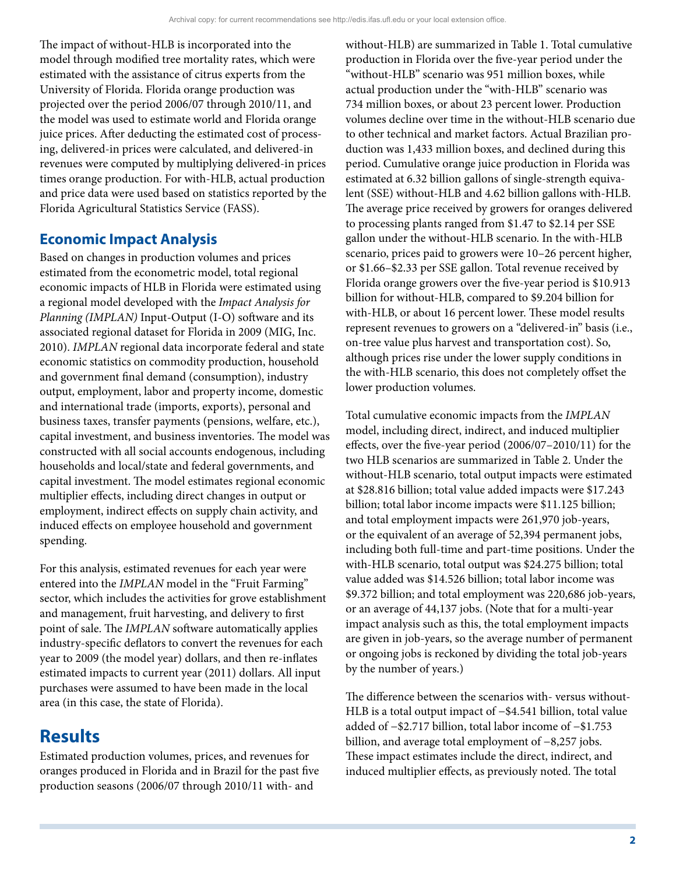The impact of without-HLB is incorporated into the model through modified tree mortality rates, which were estimated with the assistance of citrus experts from the University of Florida. Florida orange production was projected over the period 2006/07 through 2010/11, and the model was used to estimate world and Florida orange juice prices. After deducting the estimated cost of processing, delivered-in prices were calculated, and delivered-in revenues were computed by multiplying delivered-in prices times orange production. For with-HLB, actual production and price data were used based on statistics reported by the Florida Agricultural Statistics Service (FASS).

#### **Economic Impact Analysis**

Based on changes in production volumes and prices estimated from the econometric model, total regional economic impacts of HLB in Florida were estimated using a regional model developed with the *Impact Analysis for Planning (IMPLAN)* Input-Output (I-O) software and its associated regional dataset for Florida in 2009 (MIG, Inc. 2010). *IMPLAN* regional data incorporate federal and state economic statistics on commodity production, household and government final demand (consumption), industry output, employment, labor and property income, domestic and international trade (imports, exports), personal and business taxes, transfer payments (pensions, welfare, etc.), capital investment, and business inventories. The model was constructed with all social accounts endogenous, including households and local/state and federal governments, and capital investment. The model estimates regional economic multiplier effects, including direct changes in output or employment, indirect effects on supply chain activity, and induced effects on employee household and government spending.

For this analysis, estimated revenues for each year were entered into the *IMPLAN* model in the "Fruit Farming" sector, which includes the activities for grove establishment and management, fruit harvesting, and delivery to first point of sale. The *IMPLAN* software automatically applies industry-specific deflators to convert the revenues for each year to 2009 (the model year) dollars, and then re-inflates estimated impacts to current year (2011) dollars. All input purchases were assumed to have been made in the local area (in this case, the state of Florida).

#### **Results**

Estimated production volumes, prices, and revenues for oranges produced in Florida and in Brazil for the past five production seasons (2006/07 through 2010/11 with- and

without-HLB) are summarized in Table 1. Total cumulative production in Florida over the five-year period under the "without-HLB" scenario was 951 million boxes, while actual production under the "with-HLB" scenario was 734 million boxes, or about 23 percent lower. Production volumes decline over time in the without-HLB scenario due to other technical and market factors. Actual Brazilian production was 1,433 million boxes, and declined during this period. Cumulative orange juice production in Florida was estimated at 6.32 billion gallons of single-strength equivalent (SSE) without-HLB and 4.62 billion gallons with-HLB. The average price received by growers for oranges delivered to processing plants ranged from \$1.47 to \$2.14 per SSE gallon under the without-HLB scenario. In the with-HLB scenario, prices paid to growers were 10–26 percent higher, or \$1.66–\$2.33 per SSE gallon. Total revenue received by Florida orange growers over the five-year period is \$10.913 billion for without-HLB, compared to \$9.204 billion for with-HLB, or about 16 percent lower. These model results represent revenues to growers on a "delivered-in" basis (i.e., on-tree value plus harvest and transportation cost). So, although prices rise under the lower supply conditions in the with-HLB scenario, this does not completely offset the lower production volumes.

Total cumulative economic impacts from the *IMPLAN*  model, including direct, indirect, and induced multiplier effects, over the five-year period (2006/07–2010/11) for the two HLB scenarios are summarized in Table 2. Under the without-HLB scenario, total output impacts were estimated at \$28.816 billion; total value added impacts were \$17.243 billion; total labor income impacts were \$11.125 billion; and total employment impacts were 261,970 job-years, or the equivalent of an average of 52,394 permanent jobs, including both full-time and part-time positions. Under the with-HLB scenario, total output was \$24.275 billion; total value added was \$14.526 billion; total labor income was \$9.372 billion; and total employment was 220,686 job-years, or an average of 44,137 jobs. (Note that for a multi-year impact analysis such as this, the total employment impacts are given in job-years, so the average number of permanent or ongoing jobs is reckoned by dividing the total job-years by the number of years.)

The difference between the scenarios with- versus without-HLB is a total output impact of −\$4.541 billion, total value added of −\$2.717 billion, total labor income of −\$1.753 billion, and average total employment of −8,257 jobs. These impact estimates include the direct, indirect, and induced multiplier effects, as previously noted. The total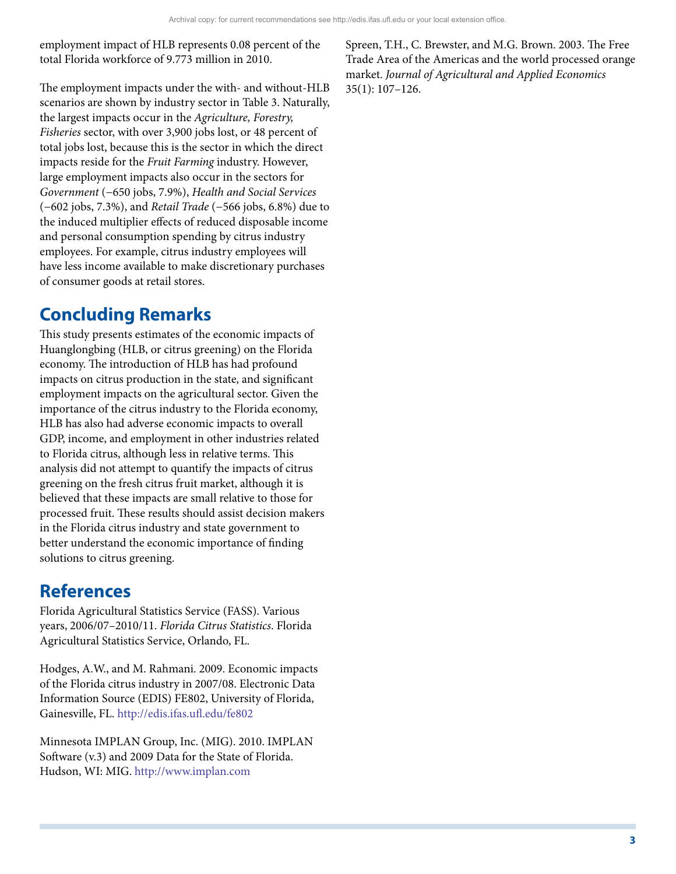employment impact of HLB represents 0.08 percent of the total Florida workforce of 9.773 million in 2010.

The employment impacts under the with- and without-HLB scenarios are shown by industry sector in Table 3. Naturally, the largest impacts occur in the *Agriculture, Forestry, Fisheries* sector, with over 3,900 jobs lost, or 48 percent of total jobs lost, because this is the sector in which the direct impacts reside for the *Fruit Farming* industry. However, large employment impacts also occur in the sectors for *Government* (−650 jobs, 7.9%), *Health and Social Services*  (−602 jobs, 7.3%), and *Retail Trade* (−566 jobs, 6.8%) due to the induced multiplier effects of reduced disposable income and personal consumption spending by citrus industry employees. For example, citrus industry employees will have less income available to make discretionary purchases of consumer goods at retail stores.

## **Concluding Remarks**

This study presents estimates of the economic impacts of Huanglongbing (HLB, or citrus greening) on the Florida economy. The introduction of HLB has had profound impacts on citrus production in the state, and significant employment impacts on the agricultural sector. Given the importance of the citrus industry to the Florida economy, HLB has also had adverse economic impacts to overall GDP, income, and employment in other industries related to Florida citrus, although less in relative terms. This analysis did not attempt to quantify the impacts of citrus greening on the fresh citrus fruit market, although it is believed that these impacts are small relative to those for processed fruit. These results should assist decision makers in the Florida citrus industry and state government to better understand the economic importance of finding solutions to citrus greening.

### **References**

Florida Agricultural Statistics Service (FASS). Various years, 2006/07–2010/11. *Florida Citrus Statistics*. Florida Agricultural Statistics Service, Orlando, FL.

Hodges, A.W., and M. Rahmani. 2009. Economic impacts of the Florida citrus industry in 2007/08. Electronic Data Information Source (EDIS) FE802, University of Florida, Gainesville, FL.<http://edis.ifas.ufl.edu/fe802>

Minnesota IMPLAN Group, Inc. (MIG). 2010. IMPLAN Software (v.3) and 2009 Data for the State of Florida. Hudson, WI: MIG. <http://www.implan.com>

Spreen, T.H., C. Brewster, and M.G. Brown. 2003. The Free Trade Area of the Americas and the world processed orange market. *Journal of Agricultural and Applied Economics*  35(1): 107–126.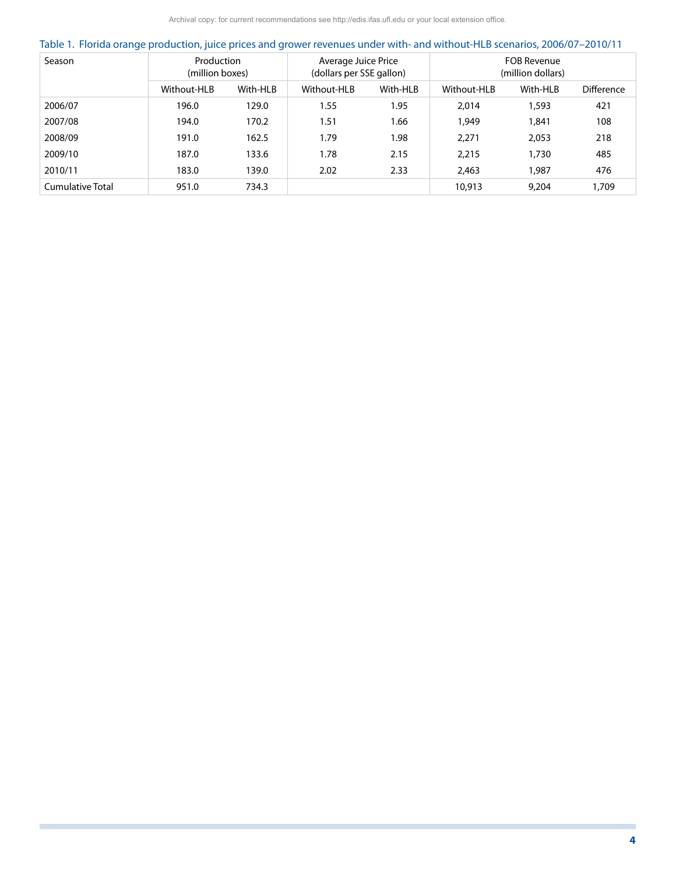Archival copy: for current recommendations see http://edis.ifas.ufl.edu or your local extension office.

|  |  | Table 1. Florida orange production, juice prices and grower revenues under with- and without-HLB scenarios, 2006/07-2010/11 |  |
|--|--|-----------------------------------------------------------------------------------------------------------------------------|--|
|  |  |                                                                                                                             |  |

| Season           | Production<br>(million boxes) |          | Average Juice Price<br>(dollars per SSE gallon) |          | <b>FOB Revenue</b><br>(million dollars) |          |                   |  |
|------------------|-------------------------------|----------|-------------------------------------------------|----------|-----------------------------------------|----------|-------------------|--|
|                  | Without-HLB                   | With-HLB | Without-HLB                                     | With-HLB | Without-HLB                             | With-HLB | <b>Difference</b> |  |
| 2006/07          | 196.0                         | 129.0    | 1.55                                            | 1.95     | 2.014                                   | 1,593    | 421               |  |
| 2007/08          | 194.0                         | 170.2    | 1.51                                            | 1.66     | 1.949                                   | 1,841    | 108               |  |
| 2008/09          | 191.0                         | 162.5    | 1.79                                            | 1.98     | 2.271                                   | 2,053    | 218               |  |
| 2009/10          | 187.0                         | 133.6    | 1.78                                            | 2.15     | 2.215                                   | 1,730    | 485               |  |
| 2010/11          | 183.0                         | 139.0    | 2.02                                            | 2.33     | 2,463                                   | 1,987    | 476               |  |
| Cumulative Total | 951.0                         | 734.3    |                                                 |          | 10,913                                  | 9.204    | 1,709             |  |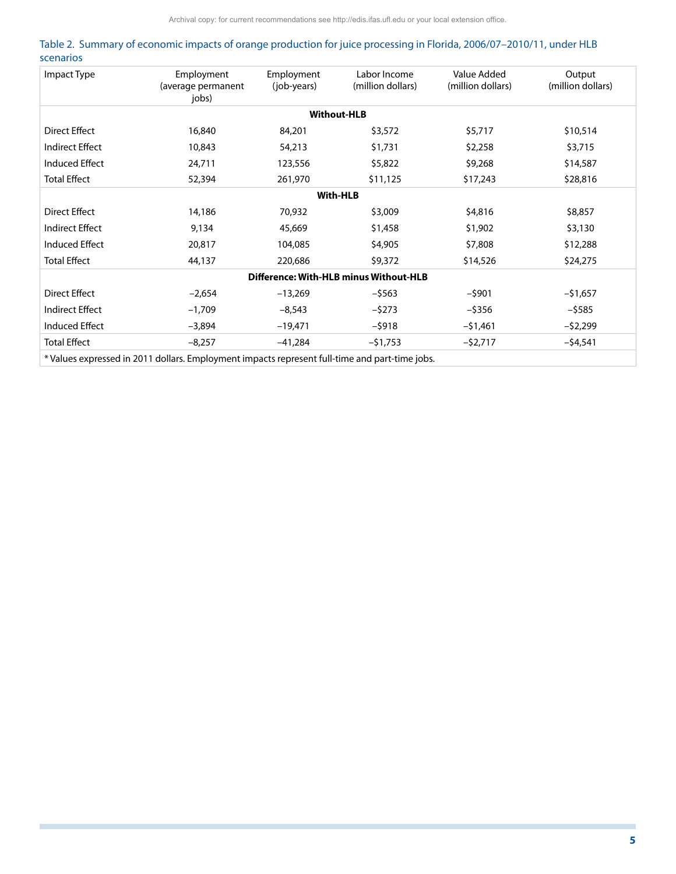|           | Table 2. Summary of economic impacts of orange production for juice processing in Florida, 2006/07-2010/11, under HLB |  |  |  |  |
|-----------|-----------------------------------------------------------------------------------------------------------------------|--|--|--|--|
| scenarios |                                                                                                                       |  |  |  |  |

| Employment<br>Impact Type<br>(average permanent<br>jobs) |                                                                                                | Employment<br>(job-years) | Labor Income<br>(million dollars)      | Value Added<br>(million dollars) | Output<br>(million dollars) |  |  |  |  |  |  |  |
|----------------------------------------------------------|------------------------------------------------------------------------------------------------|---------------------------|----------------------------------------|----------------------------------|-----------------------------|--|--|--|--|--|--|--|
| <b>Without-HLB</b>                                       |                                                                                                |                           |                                        |                                  |                             |  |  |  |  |  |  |  |
| Direct Effect                                            | 16,840                                                                                         | 84,201                    | \$3,572                                | \$5,717                          | \$10,514                    |  |  |  |  |  |  |  |
| <b>Indirect Effect</b>                                   | 10,843                                                                                         | 54,213                    | \$1,731                                | \$2,258                          | \$3,715                     |  |  |  |  |  |  |  |
| <b>Induced Effect</b>                                    | 24,711                                                                                         | 123,556                   | \$5,822                                | \$9,268                          | \$14,587                    |  |  |  |  |  |  |  |
| <b>Total Effect</b>                                      | 52,394                                                                                         | 261,970                   | \$11,125                               | \$17,243                         | \$28,816                    |  |  |  |  |  |  |  |
|                                                          | <b>With-HLB</b>                                                                                |                           |                                        |                                  |                             |  |  |  |  |  |  |  |
| Direct Effect                                            | 14,186                                                                                         | 70,932                    | \$3,009                                | \$4,816                          | \$8,857                     |  |  |  |  |  |  |  |
| Indirect Effect                                          | 9,134                                                                                          | 45,669                    | \$1,458                                | \$1,902                          | \$3,130                     |  |  |  |  |  |  |  |
| Induced Effect                                           | 20,817                                                                                         | 104,085                   | \$4,905                                | \$7,808                          | \$12,288                    |  |  |  |  |  |  |  |
| <b>Total Effect</b>                                      | 44,137                                                                                         | 220,686                   | \$9,372                                | \$14,526                         | \$24,275                    |  |  |  |  |  |  |  |
|                                                          |                                                                                                |                           | Difference: With-HLB minus Without-HLB |                                  |                             |  |  |  |  |  |  |  |
| Direct Effect                                            | $-2,654$                                                                                       | $-13,269$                 | $-5563$                                | $-$ \$901                        | $-$ \$1,657                 |  |  |  |  |  |  |  |
| Indirect Effect                                          | $-1,709$                                                                                       | $-8,543$                  | $-5273$                                | $-$ \$356                        | $-$ \$585                   |  |  |  |  |  |  |  |
| Induced Effect                                           | $-3,894$                                                                                       | $-19,471$                 | $-5918$                                | $-51,461$                        | $-52,299$                   |  |  |  |  |  |  |  |
| <b>Total Effect</b>                                      | $-8,257$                                                                                       | $-41,284$                 | $-51,753$                              | $-$ \$2,717                      | $-54,541$                   |  |  |  |  |  |  |  |
|                                                          | * Values expressed in 2011 dollars. Employment impacts represent full-time and part-time jobs. |                           |                                        |                                  |                             |  |  |  |  |  |  |  |